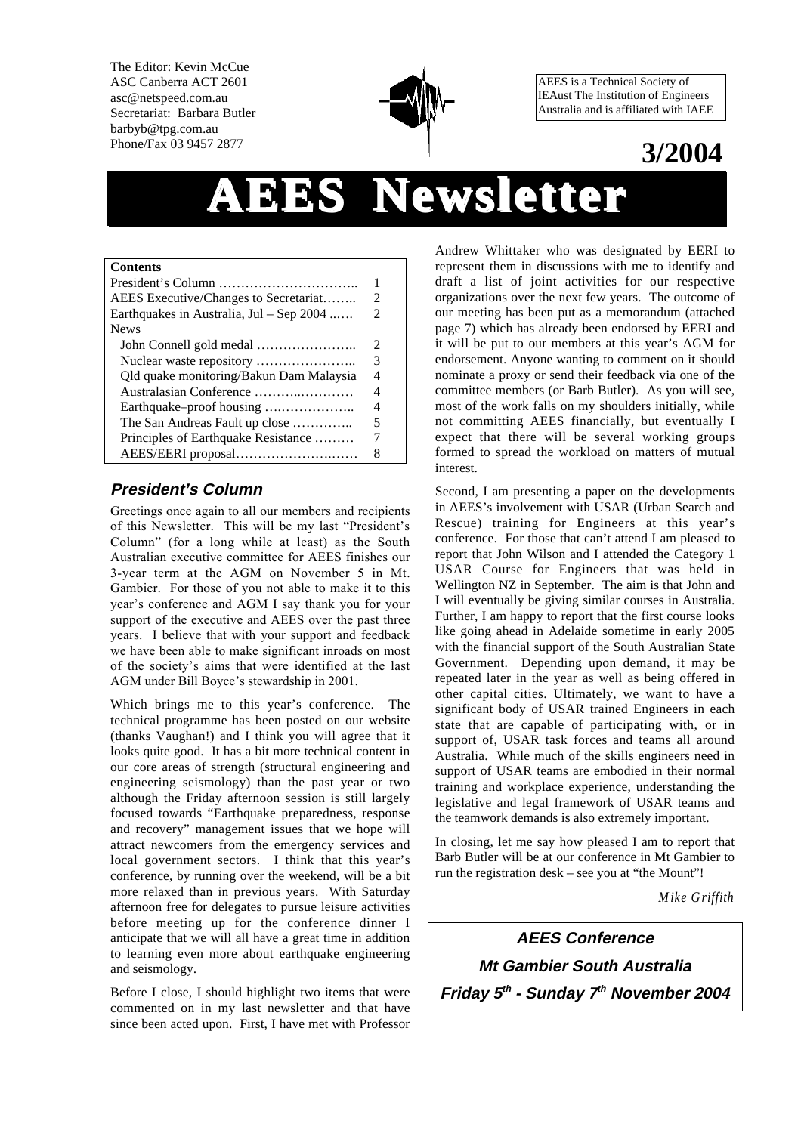The Editor: Kevin McCue ASC Canberra ACT 2601 asc@netspeed.com.au Secretariat: Barbara Butler barbyb@tpg.com.au Phone/Fax 03 9457 2877



AEES is a Technical Society of IEAust The Institution of Engineers Australia and is affiliated with IAEE

## **3/2004**

# **AEES Newsletter Newsletter**

#### **Contents**

| AEES Executive/Changes to Secretariat    |                |  |  |  |  |
|------------------------------------------|----------------|--|--|--|--|
| Earthquakes in Australia, Jul – Sep 2004 | 2              |  |  |  |  |
| <b>News</b>                              |                |  |  |  |  |
|                                          | $\mathfrak{D}$ |  |  |  |  |
|                                          | 3              |  |  |  |  |
| Qld quake monitoring/Bakun Dam Malaysia  | 4              |  |  |  |  |
| Australasian Conference                  | 4              |  |  |  |  |
| Earthquake-proof housing                 | 4              |  |  |  |  |
| The San Andreas Fault up close           | 5              |  |  |  |  |
| Principles of Earthquake Resistance      |                |  |  |  |  |
| AEES/EERI proposal                       | 8              |  |  |  |  |

## **President's Column**

Greetings once again to all our members and recipients of this Newsletter. This will be my last "President's Column" (for a long while at least) as the South Australian executive committee for AEES finishes our 3-year term at the AGM on November 5 in Mt. Gambier. For those of you not able to make it to this year's conference and AGM I say thank you for your support of the executive and AEES over the past three years. I believe that with your support and feedback we have been able to make significant inroads on most of the society's aims that were identified at the last AGM under Bill Boyce's stewardship in 2001.

Which brings me to this year's conference. The technical programme has been posted on our website (thanks Vaughan!) and I think you will agree that it looks quite good. It has a bit more technical content in our core areas of strength (structural engineering and engineering seismology) than the past year or two although the Friday afternoon session is still largely focused towards "Earthquake preparedness, response and recovery" management issues that we hope will attract newcomers from the emergency services and local government sectors. I think that this year's conference, by running over the weekend, will be a bit more relaxed than in previous years. With Saturday afternoon free for delegates to pursue leisure activities before meeting up for the conference dinner I anticipate that we will all have a great time in addition to learning even more about earthquake engineering and seismology.

Before I close, I should highlight two items that were commented on in my last newsletter and that have since been acted upon. First, I have met with Professor Andrew Whittaker who was designated by EERI to represent them in discussions with me to identify and draft a list of joint activities for our respective organizations over the next few years. The outcome of our meeting has been put as a memorandum (attached page 7) which has already been endorsed by EERI and it will be put to our members at this year's AGM for endorsement. Anyone wanting to comment on it should nominate a proxy or send their feedback via one of the committee members (or Barb Butler). As you will see, most of the work falls on my shoulders initially, while not committing AEES financially, but eventually I expect that there will be several working groups formed to spread the workload on matters of mutual interest.

Second, I am presenting a paper on the developments in AEES's involvement with USAR (Urban Search and Rescue) training for Engineers at this year's conference. For those that can't attend I am pleased to report that John Wilson and I attended the Category 1 USAR Course for Engineers that was held in Wellington NZ in September. The aim is that John and I will eventually be giving similar courses in Australia. Further, I am happy to report that the first course looks like going ahead in Adelaide sometime in early 2005 with the financial support of the South Australian State Government. Depending upon demand, it may be repeated later in the year as well as being offered in other capital cities. Ultimately, we want to have a significant body of USAR trained Engineers in each state that are capable of participating with, or in support of, USAR task forces and teams all around Australia. While much of the skills engineers need in support of USAR teams are embodied in their normal training and workplace experience, understanding the legislative and legal framework of USAR teams and the teamwork demands is also extremely important.

In closing, let me say how pleased I am to report that Barb Butler will be at our conference in Mt Gambier to run the registration desk – see you at "the Mount"!

*Mike Griffith*

**AEES Conference Mt Gambier South Australia Friday 5th - Sunday 7th November 2004**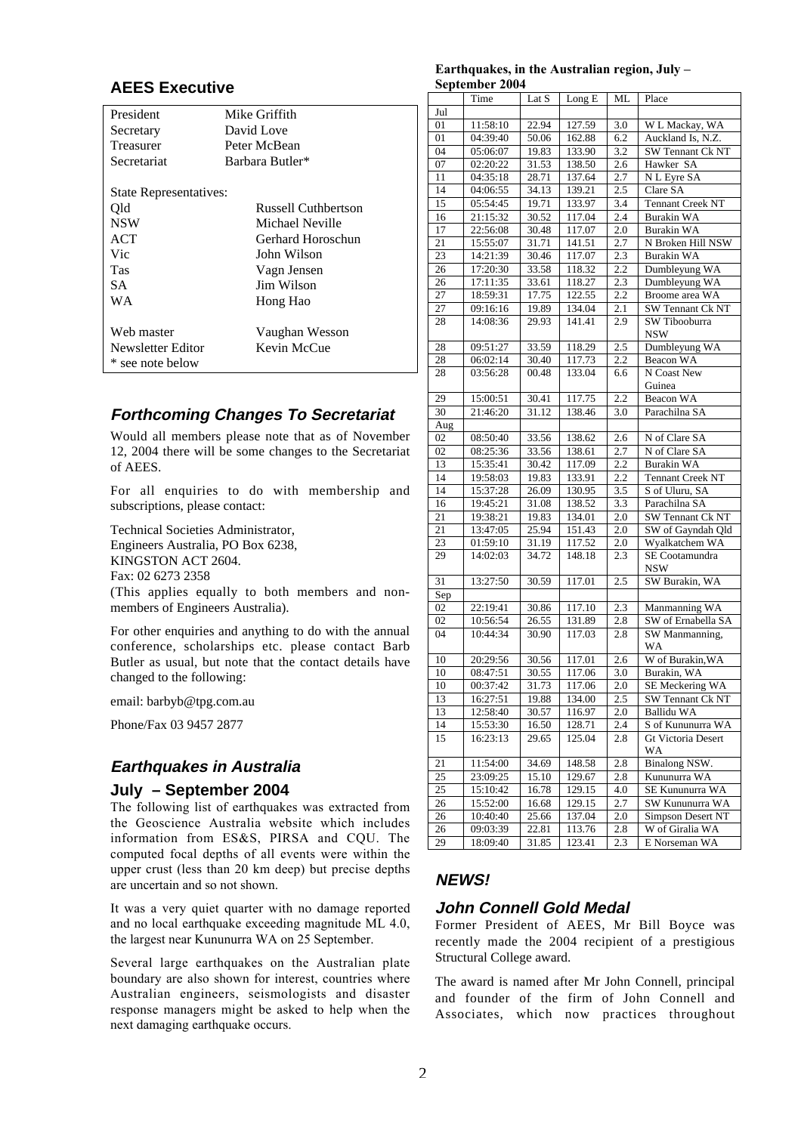## **AEES Executive**

| President              | Mike Griffith       |  |  |  |  |  |  |
|------------------------|---------------------|--|--|--|--|--|--|
| Secretary              | David Love          |  |  |  |  |  |  |
| Treasurer              | Peter McBean        |  |  |  |  |  |  |
| Secretariat            | Barbara Butler*     |  |  |  |  |  |  |
|                        |                     |  |  |  |  |  |  |
| State Representatives: |                     |  |  |  |  |  |  |
| Old                    | Russell Cuthbertson |  |  |  |  |  |  |
| <b>NSW</b>             | Michael Neville     |  |  |  |  |  |  |
| ACT                    | Gerhard Horoschun   |  |  |  |  |  |  |
| Vic                    | John Wilson         |  |  |  |  |  |  |
| Tas                    | Vagn Jensen         |  |  |  |  |  |  |
| SА                     | Jim Wilson          |  |  |  |  |  |  |
| WА                     | Hong Hao            |  |  |  |  |  |  |
|                        |                     |  |  |  |  |  |  |
| Web master             | Vaughan Wesson      |  |  |  |  |  |  |
| Newsletter Editor      | Kevin McCue         |  |  |  |  |  |  |
| * see note below       |                     |  |  |  |  |  |  |

#### **Forthcoming Changes To Secretariat**

Would all members please note that as of November 12, 2004 there will be some changes to the Secretariat of AEES.

For all enquiries to do with membership and subscriptions, please contact:

Technical Societies Administrator, Engineers Australia, PO Box 6238, KINGSTON ACT 2604. Fax: 02 6273 2358

(This applies equally to both members and nonmembers of Engineers Australia).

For other enquiries and anything to do with the annual conference, scholarships etc. please contact Barb Butler as usual, but note that the contact details have changed to the following:

email: barbyb@tpg.com.au

Phone/Fax 03 9457 2877

## **Earthquakes in Australia**

#### **July – September 2004**

The following list of earthquakes was extracted from the Geoscience Australia website which includes information from ES&S, PIRSA and CQU. The computed focal depths of all events were within the upper crust (less than 20 km deep) but precise depths are uncertain and so not shown.

It was a very quiet quarter with no damage reported and no local earthquake exceeding magnitude ML 4.0, the largest near Kununurra WA on 25 September.

Several large earthquakes on the Australian plate boundary are also shown for interest, countries where Australian engineers, seismologists and disaster response managers might be asked to help when the next damaging earthquake occurs.

**Earthquakes, in the Australian region, July – September 2004**

| september 2004 |          |       |        |     |                           |  |  |
|----------------|----------|-------|--------|-----|---------------------------|--|--|
|                | Time     | Lat S | Long E | ML  | Place                     |  |  |
| Jul            |          |       |        |     |                           |  |  |
| 01             | 11:58:10 | 22.94 | 127.59 | 3.0 | W L Mackay, WA            |  |  |
| 01             | 04:39:40 | 50.06 | 162.88 | 6.2 | Auckland Is, N.Z.         |  |  |
| 04             | 05:06:07 | 19.83 | 133.90 | 3.2 | SW Tennant Ck NT          |  |  |
| 07             | 02:20:22 | 31.53 | 138.50 | 2.6 | Hawker SA                 |  |  |
| 11             | 04:35:18 | 28.71 | 137.64 | 2.7 | N L Eyre SA               |  |  |
| 14             | 04:06:55 | 34.13 | 139.21 | 2.5 | Clare SA                  |  |  |
| 15             | 05:54:45 | 19.71 | 133.97 | 3.4 | <b>Tennant Creek NT</b>   |  |  |
| 16             | 21:15:32 | 30.52 | 117.04 | 2.4 | Burakin WA                |  |  |
| 17             | 22:56:08 | 30.48 | 117.07 | 2.0 | Burakin WA                |  |  |
| 21             | 15:55:07 | 31.71 | 141.51 | 2.7 | N Broken Hill NSW         |  |  |
| 23             | 14:21:39 | 30.46 | 117.07 | 2.3 | Burakin WA                |  |  |
| 26             | 17:20:30 | 33.58 | 118.32 | 2.2 | Dumbleyung WA             |  |  |
| 26             | 17:11:35 | 33.61 | 118.27 | 2.3 | Dumbleyung WA             |  |  |
| 27             | 18:59:31 | 17.75 | 122.55 | 2.2 | Broome area WA            |  |  |
| 27             | 09:16:16 | 19.89 | 134.04 | 2.1 | SW Tennant Ck NT          |  |  |
| 28             | 14:08:36 | 29.93 | 141.41 | 2.9 | SW Tibooburra             |  |  |
|                |          |       |        |     | NSW                       |  |  |
| 28             | 09:51:27 | 33.59 | 118.29 | 2.5 | Dumbleyung WA             |  |  |
| 28             | 06:02:14 | 30.40 | 117.73 | 2.2 | Beacon WA                 |  |  |
| 28             | 03:56:28 | 00.48 | 133.04 | 6.6 | N Coast New               |  |  |
|                |          |       |        |     | Guinea                    |  |  |
| 29             | 15:00:51 | 30.41 | 117.75 | 2.2 | Beacon WA                 |  |  |
| 30             | 21:46:20 | 31.12 | 138.46 | 3.0 | Parachilna SA             |  |  |
| Aug            |          |       |        |     |                           |  |  |
| 02             | 08:50:40 | 33.56 | 138.62 | 2.6 | N of Clare SA             |  |  |
| 02             | 08:25:36 | 33.56 | 138.61 | 2.7 | N of Clare SA             |  |  |
| 13             | 15:35:41 | 30.42 | 117.09 | 2.2 | Burakin WA                |  |  |
| 14             | 19:58:03 | 19.83 | 133.91 | 2.2 | <b>Tennant Creek NT</b>   |  |  |
| 14             | 15:37:28 | 26.09 | 130.95 | 3.5 | S of Uluru, SA            |  |  |
| 16             | 19:45:21 | 31.08 | 138.52 | 3.3 | Parachilna SA             |  |  |
| 21             | 19:38:21 | 19.83 | 134.01 | 2.0 | SW Tennant Ck NT          |  |  |
| 21             | 13:47:05 | 25.94 | 151.43 | 2.0 | SW of Gayndah Qld         |  |  |
| 23             | 01:59:10 | 31.19 | 117.52 | 2.0 | Wyalkatchem WA            |  |  |
| 29             | 14:02:03 | 34.72 | 148.18 | 2.3 | SE Cootamundra            |  |  |
|                |          |       |        |     | <b>NSW</b>                |  |  |
| 31             | 13:27:50 | 30.59 | 117.01 | 2.5 | SW Burakin, WA            |  |  |
| Sep            |          |       |        |     |                           |  |  |
| 02             | 22:19:41 | 30.86 | 117.10 | 2.3 | Manmanning WA             |  |  |
| 02             | 10:56:54 | 26.55 | 131.89 | 2.8 | SW of Ernabella SA        |  |  |
| 04             | 10:44:34 | 30.90 | 117.03 | 2.8 | SW Manmanning,            |  |  |
|                |          |       |        |     | WA                        |  |  |
| 10             | 20:29:56 | 30.56 | 117.01 | 2.6 | W of Burakin, WA          |  |  |
| 10             | 08:47:51 | 30.55 | 117.06 | 3.0 | Burakin, WA               |  |  |
| 10             | 00:37:42 | 31.73 | 117.06 | 2.0 | <b>SE Meckering WA</b>    |  |  |
| 13             | 16:27:51 | 19.88 | 134.00 | 2.5 | SW Tennant Ck NT          |  |  |
| 13             | 12:58:40 | 30.57 | 116.97 | 2.0 | Ballidu WA                |  |  |
| 14             | 15:53:30 | 16.50 | 128.71 | 2.4 | S of Kununurra WA         |  |  |
| 15             | 16:23:13 | 29.65 | 125.04 | 2.8 | <b>Gt Victoria Desert</b> |  |  |
|                |          |       |        |     | WA                        |  |  |
| 21             | 11:54:00 | 34.69 | 148.58 | 2.8 | Binalong NSW.             |  |  |
| 25             | 23:09:25 | 15.10 | 129.67 | 2.8 | Kununurra WA              |  |  |
| 25             | 15:10:42 | 16.78 | 129.15 | 4.0 | SE Kununurra WA           |  |  |
| 26             | 15:52:00 | 16.68 | 129.15 | 2.7 | SW Kununurra WA           |  |  |
| 26             | 10:40:40 | 25.66 | 137.04 | 2.0 | <b>Simpson Desert NT</b>  |  |  |
| 26             | 09:03:39 | 22.81 | 113.76 | 2.8 | W of Giralia WA           |  |  |
| 29             | 18:09:40 | 31.85 | 123.41 | 2.3 | E Norseman WA             |  |  |

## **NEWS!**

## **John Connell Gold Medal**

Former President of AEES, Mr Bill Boyce was recently made the 2004 recipient of a prestigious Structural College award.

The award is named after Mr John Connell, principal and founder of the firm of John Connell and Associates, which now practices throughout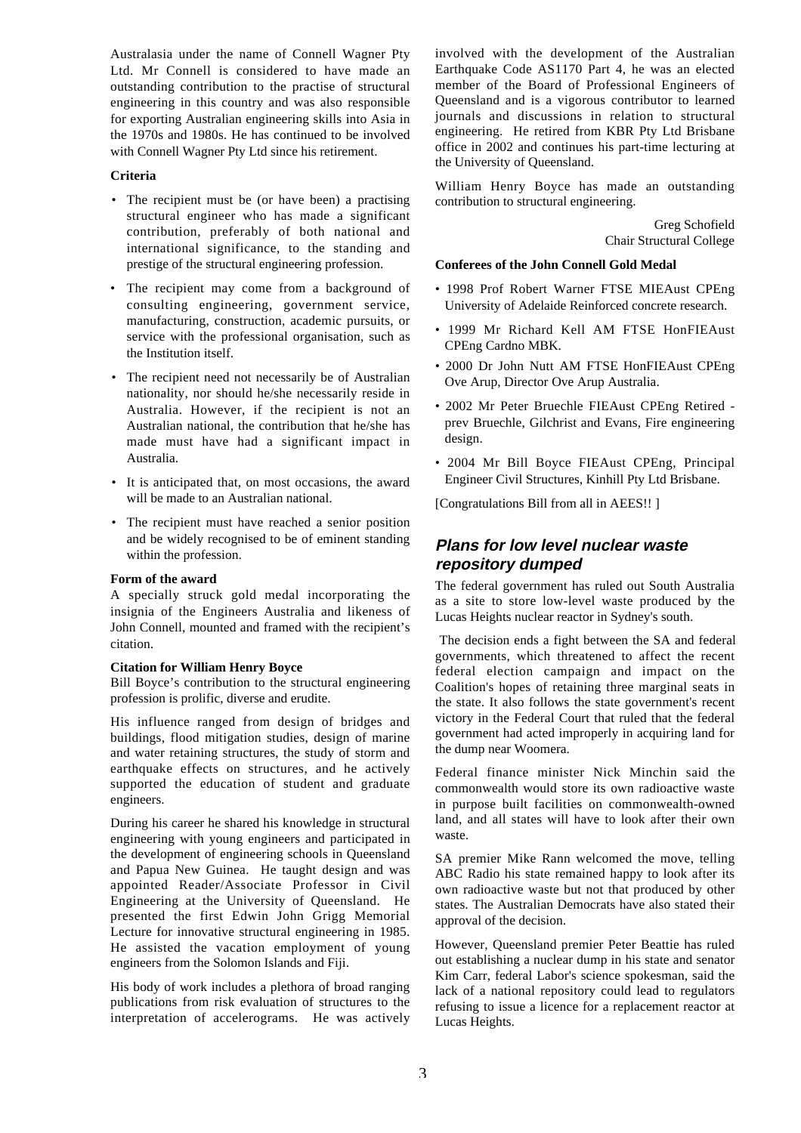Australasia under the name of Connell Wagner Pty Ltd. Mr Connell is considered to have made an outstanding contribution to the practise of structural engineering in this country and was also responsible for exporting Australian engineering skills into Asia in the 1970s and 1980s. He has continued to be involved with Connell Wagner Pty Ltd since his retirement.

#### **Criteria**

- The recipient must be (or have been) a practising structural engineer who has made a significant contribution, preferably of both national and international significance, to the standing and prestige of the structural engineering profession.
- The recipient may come from a background of consulting engineering, government service, manufacturing, construction, academic pursuits, or service with the professional organisation, such as the Institution itself.
- The recipient need not necessarily be of Australian nationality, nor should he/she necessarily reside in Australia. However, if the recipient is not an Australian national, the contribution that he/she has made must have had a significant impact in Australia.
- It is anticipated that, on most occasions, the award will be made to an Australian national.
- The recipient must have reached a senior position and be widely recognised to be of eminent standing within the profession.

#### **Form of the award**

A specially struck gold medal incorporating the insignia of the Engineers Australia and likeness of John Connell, mounted and framed with the recipient's citation.

#### **Citation for William Henry Boyce**

Bill Boyce's contribution to the structural engineering profession is prolific, diverse and erudite.

His influence ranged from design of bridges and buildings, flood mitigation studies, design of marine and water retaining structures, the study of storm and earthquake effects on structures, and he actively supported the education of student and graduate engineers.

During his career he shared his knowledge in structural engineering with young engineers and participated in the development of engineering schools in Queensland and Papua New Guinea. He taught design and was appointed Reader/Associate Professor in Civil Engineering at the University of Queensland. He presented the first Edwin John Grigg Memorial Lecture for innovative structural engineering in 1985. He assisted the vacation employment of young engineers from the Solomon Islands and Fiji.

His body of work includes a plethora of broad ranging publications from risk evaluation of structures to the interpretation of accelerograms. He was actively involved with the development of the Australian Earthquake Code AS1170 Part 4, he was an elected member of the Board of Professional Engineers of Queensland and is a vigorous contributor to learned journals and discussions in relation to structural engineering. He retired from KBR Pty Ltd Brisbane office in 2002 and continues his part-time lecturing at the University of Queensland.

William Henry Boyce has made an outstanding contribution to structural engineering.

> Greg Schofield Chair Structural College

#### **Conferees of the John Connell Gold Medal**

- 1998 Prof Robert Warner FTSE MIEAust CPEng University of Adelaide Reinforced concrete research.
- 1999 Mr Richard Kell AM FTSE HonFIEAust CPEng Cardno MBK.
- 2000 Dr John Nutt AM FTSE HonFIEAust CPEng Ove Arup, Director Ove Arup Australia.
- 2002 Mr Peter Bruechle FIEAust CPEng Retired prev Bruechle, Gilchrist and Evans, Fire engineering design.
- 2004 Mr Bill Boyce FIEAust CPEng, Principal Engineer Civil Structures, Kinhill Pty Ltd Brisbane.

[Congratulations Bill from all in AEES!! ]

## **Plans for low level nuclear waste repository dumped**

The federal government has ruled out South Australia as a site to store low-level waste produced by the Lucas Heights nuclear reactor in Sydney's south.

The decision ends a fight between the SA and federal governments, which threatened to affect the recent federal election campaign and impact on the Coalition's hopes of retaining three marginal seats in the state. It also follows the state government's recent victory in the Federal Court that ruled that the federal government had acted improperly in acquiring land for the dump near Woomera.

Federal finance minister Nick Minchin said the commonwealth would store its own radioactive waste in purpose built facilities on commonwealth-owned land, and all states will have to look after their own waste.

SA premier Mike Rann welcomed the move, telling ABC Radio his state remained happy to look after its own radioactive waste but not that produced by other states. The Australian Democrats have also stated their approval of the decision.

However, Queensland premier Peter Beattie has ruled out establishing a nuclear dump in his state and senator Kim Carr, federal Labor's science spokesman, said the lack of a national repository could lead to regulators refusing to issue a licence for a replacement reactor at Lucas Heights.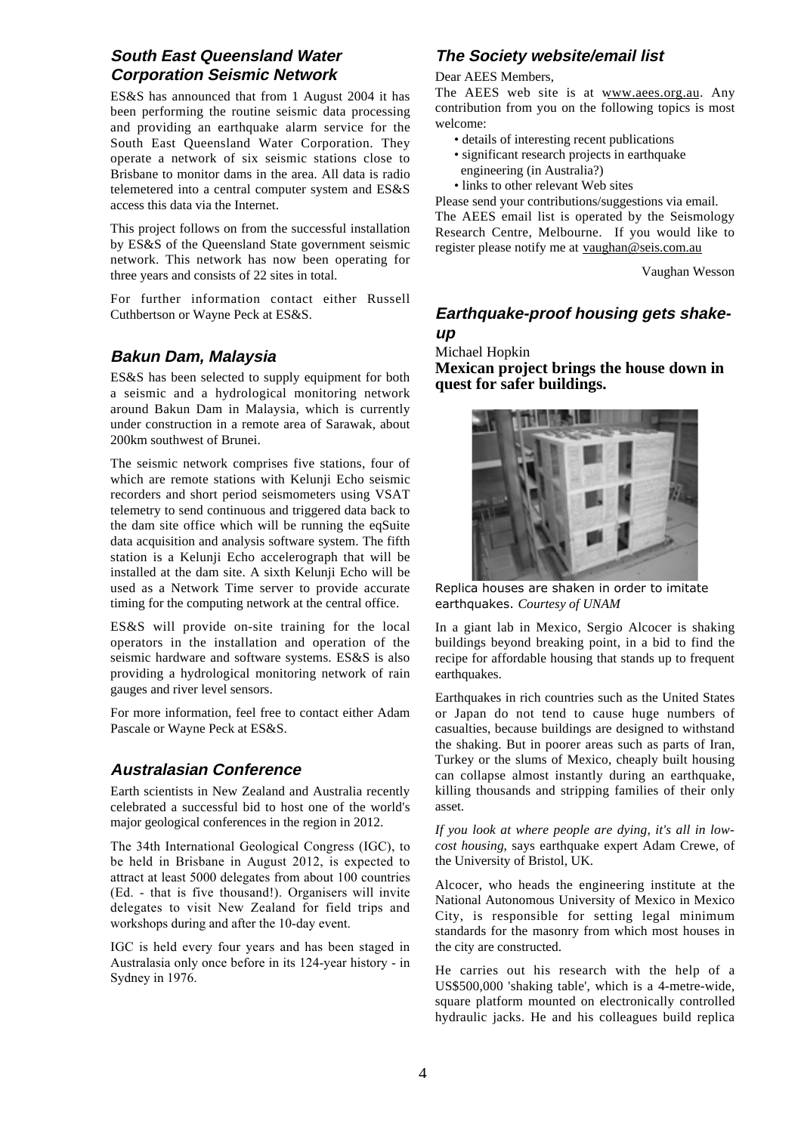## **South East Queensland Water Corporation Seismic Network**

ES&S has announced that from 1 August 2004 it has been performing the routine seismic data processing and providing an earthquake alarm service for the South East Queensland Water Corporation. They operate a network of six seismic stations close to Brisbane to monitor dams in the area. All data is radio telemetered into a central computer system and ES&S access this data via the Internet.

This project follows on from the successful installation by ES&S of the Queensland State government seismic network. This network has now been operating for three years and consists of 22 sites in total.

For further information contact either Russell Cuthbertson or Wayne Peck at ES&S.

## **Bakun Dam, Malaysia**

ES&S has been selected to supply equipment for both a seismic and a hydrological monitoring network around Bakun Dam in Malaysia, which is currently under construction in a remote area of Sarawak, about 200km southwest of Brunei.

The seismic network comprises five stations, four of which are remote stations with Kelunji Echo seismic recorders and short period seismometers using VSAT telemetry to send continuous and triggered data back to the dam site office which will be running the eqSuite data acquisition and analysis software system. The fifth station is a Kelunji Echo accelerograph that will be installed at the dam site. A sixth Kelunji Echo will be used as a Network Time server to provide accurate timing for the computing network at the central office.

ES&S will provide on-site training for the local operators in the installation and operation of the seismic hardware and software systems. ES&S is also providing a hydrological monitoring network of rain gauges and river level sensors.

For more information, feel free to contact either Adam Pascale or Wayne Peck at ES&S.

## **Australasian Conference**

Earth scientists in New Zealand and Australia recently celebrated a successful bid to host one of the world's major geological conferences in the region in 2012.

The 34th International Geological Congress (IGC), to be held in Brisbane in August 2012, is expected to attract at least 5000 delegates from about 100 countries (Ed. - that is five thousand!). Organisers will invite delegates to visit New Zealand for field trips and workshops during and after the 10-day event.

IGC is held every four years and has been staged in Australasia only once before in its 124-year history - in Sydney in 1976.

## **The Society website/email list**

#### Dear AEES Members,

The AEES web site is at www.aees.org.au. Any contribution from you on the following topics is most welcome:

- details of interesting recent publications
- significant research projects in earthquake engineering (in Australia?)
- links to other relevant Web sites

Please send your contributions/suggestions via email. The AEES email list is operated by the Seismology Research Centre, Melbourne. If you would like to register please notify me at vaughan@seis.com.au

Vaughan Wesson

## **Earthquake-proof housing gets shakeup**

Michael Hopkin **Mexican project brings the house down in quest for safer buildings.**



Replica houses are shaken in order to imitate earthquakes. *Courtesy of UNAM*

In a giant lab in Mexico, Sergio Alcocer is shaking buildings beyond breaking point, in a bid to find the recipe for affordable housing that stands up to frequent earthquakes.

Earthquakes in rich countries such as the United States or Japan do not tend to cause huge numbers of casualties, because buildings are designed to withstand the shaking. But in poorer areas such as parts of Iran, Turkey or the slums of Mexico, cheaply built housing can collapse almost instantly during an earthquake, killing thousands and stripping families of their only asset.

*If you look at where people are dying, it's all in lowcost housing*, says earthquake expert Adam Crewe, of the University of Bristol, UK.

Alcocer, who heads the engineering institute at the National Autonomous University of Mexico in Mexico City, is responsible for setting legal minimum standards for the masonry from which most houses in the city are constructed.

He carries out his research with the help of a US\$500,000 'shaking table', which is a 4-metre-wide, square platform mounted on electronically controlled hydraulic jacks. He and his colleagues build replica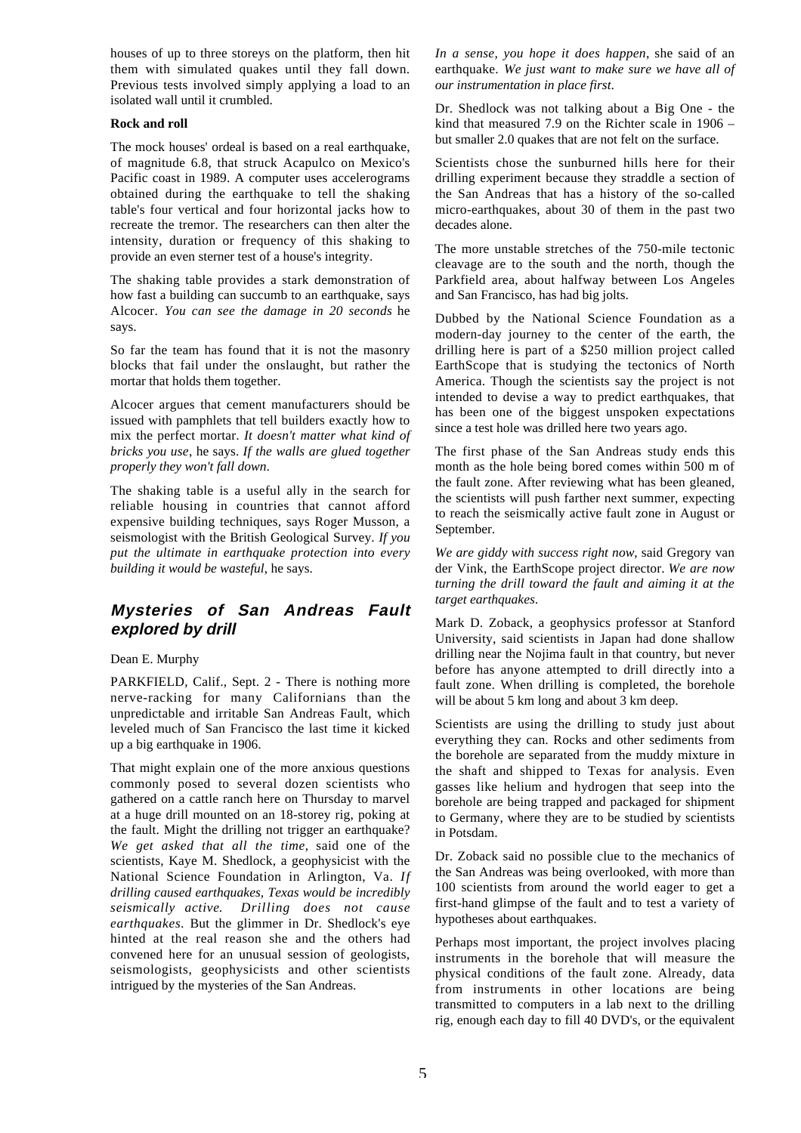houses of up to three storeys on the platform, then hit them with simulated quakes until they fall down. Previous tests involved simply applying a load to an isolated wall until it crumbled.

#### **Rock and roll**

The mock houses' ordeal is based on a real earthquake, of magnitude 6.8, that struck Acapulco on Mexico's Pacific coast in 1989. A computer uses accelerograms obtained during the earthquake to tell the shaking table's four vertical and four horizontal jacks how to recreate the tremor. The researchers can then alter the intensity, duration or frequency of this shaking to provide an even sterner test of a house's integrity.

The shaking table provides a stark demonstration of how fast a building can succumb to an earthquake, says Alcocer. *You can see the damage in 20 seconds* he says.

So far the team has found that it is not the masonry blocks that fail under the onslaught, but rather the mortar that holds them together.

Alcocer argues that cement manufacturers should be issued with pamphlets that tell builders exactly how to mix the perfect mortar. *It doesn't matter what kind of bricks you use*, he says. *If the walls are glued together properly they won't fall down*.

The shaking table is a useful ally in the search for reliable housing in countries that cannot afford expensive building techniques, says Roger Musson, a seismologist with the British Geological Survey. *If you put the ultimate in earthquake protection into every building it would be wasteful*, he says.

## **Mysteries of San Andreas Fault explored by drill**

#### Dean E. Murphy

PARKFIELD, Calif., Sept. 2 - There is nothing more nerve-racking for many Californians than the unpredictable and irritable San Andreas Fault, which leveled much of San Francisco the last time it kicked up a big earthquake in 1906.

That might explain one of the more anxious questions commonly posed to several dozen scientists who gathered on a cattle ranch here on Thursday to marvel at a huge drill mounted on an 18-storey rig, poking at the fault. Might the drilling not trigger an earthquake? *We get asked that all the time*, said one of the scientists, Kaye M. Shedlock, a geophysicist with the National Science Foundation in Arlington, Va. *If drilling caused earthquakes, Texas would be incredibly seismically active*. *Drilling does not cause earthquakes.* But the glimmer in Dr. Shedlock's eye hinted at the real reason she and the others had convened here for an unusual session of geologists, seismologists, geophysicists and other scientists intrigued by the mysteries of the San Andreas.

*In a sense, you hope it does happen*, she said of an earthquake. *We just want to make sure we have all of our instrumentation in place first*.

Dr. Shedlock was not talking about a Big One - the kind that measured 7.9 on the Richter scale in 1906 – but smaller 2.0 quakes that are not felt on the surface.

Scientists chose the sunburned hills here for their drilling experiment because they straddle a section of the San Andreas that has a history of the so-called micro-earthquakes, about 30 of them in the past two decades alone.

The more unstable stretches of the 750-mile tectonic cleavage are to the south and the north, though the Parkfield area, about halfway between Los Angeles and San Francisco, has had big jolts.

Dubbed by the National Science Foundation as a modern-day journey to the center of the earth, the drilling here is part of a \$250 million project called EarthScope that is studying the tectonics of North America. Though the scientists say the project is not intended to devise a way to predict earthquakes, that has been one of the biggest unspoken expectations since a test hole was drilled here two years ago.

The first phase of the San Andreas study ends this month as the hole being bored comes within 500 m of the fault zone. After reviewing what has been gleaned, the scientists will push farther next summer, expecting to reach the seismically active fault zone in August or September.

*We are giddy with success right now*, said Gregory van der Vink, the EarthScope project director. *We are now turning the drill toward the fault and aiming it at the target earthquakes*.

Mark D. Zoback, a geophysics professor at Stanford University, said scientists in Japan had done shallow drilling near the Nojima fault in that country, but never before has anyone attempted to drill directly into a fault zone. When drilling is completed, the borehole will be about 5 km long and about 3 km deep.

Scientists are using the drilling to study just about everything they can. Rocks and other sediments from the borehole are separated from the muddy mixture in the shaft and shipped to Texas for analysis. Even gasses like helium and hydrogen that seep into the borehole are being trapped and packaged for shipment to Germany, where they are to be studied by scientists in Potsdam.

Dr. Zoback said no possible clue to the mechanics of the San Andreas was being overlooked, with more than 100 scientists from around the world eager to get a first-hand glimpse of the fault and to test a variety of hypotheses about earthquakes.

Perhaps most important, the project involves placing instruments in the borehole that will measure the physical conditions of the fault zone. Already, data from instruments in other locations are being transmitted to computers in a lab next to the drilling rig, enough each day to fill 40 DVD's, or the equivalent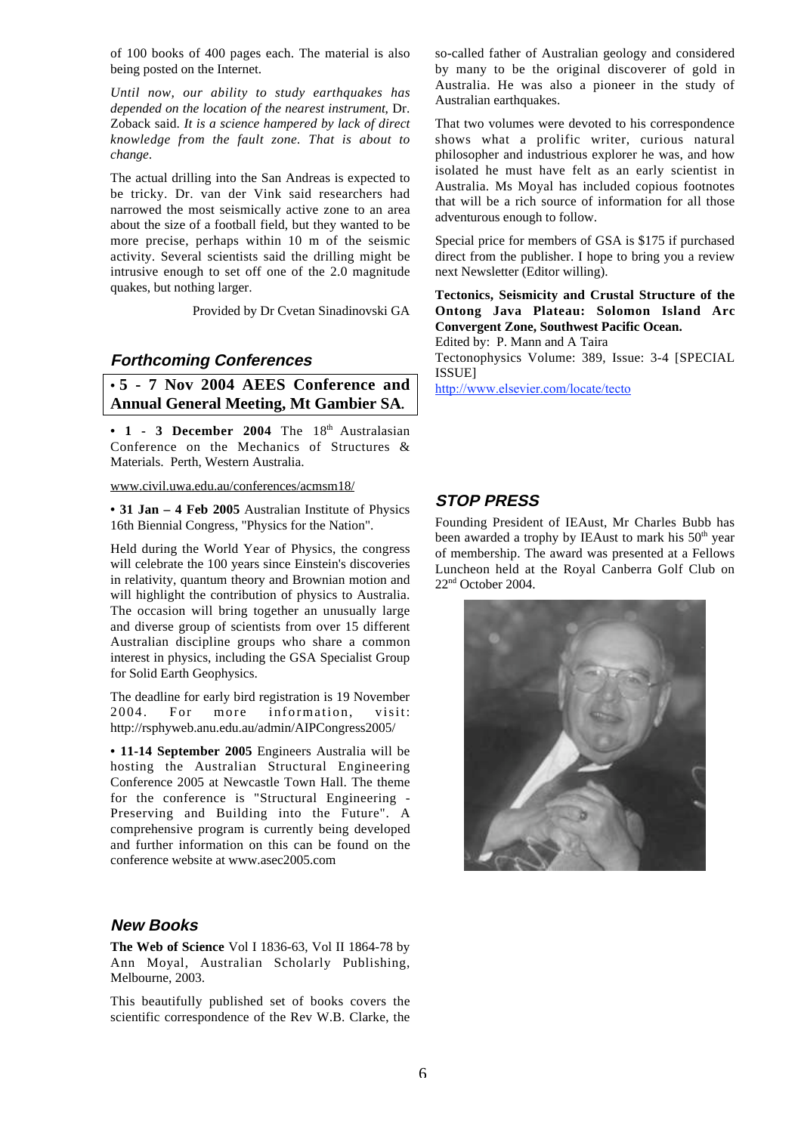of 100 books of 400 pages each. The material is also being posted on the Internet.

*Until now, our ability to study earthquakes has depended on the location of the nearest instrument*, Dr. Zoback said. *It is a science hampered by lack of direct knowledge from the fault zone. That is about to change*.

The actual drilling into the San Andreas is expected to be tricky. Dr. van der Vink said researchers had narrowed the most seismically active zone to an area about the size of a football field, but they wanted to be more precise, perhaps within 10 m of the seismic activity. Several scientists said the drilling might be intrusive enough to set off one of the 2.0 magnitude quakes, but nothing larger.

Provided by Dr Cvetan Sinadinovski GA

#### **Forthcoming Conferences**

**• 5 - 7 Nov 2004 AEES Conference and Annual General Meeting, Mt Gambier SA.**

• 1 - 3 December 2004 The 18<sup>th</sup> Australasian Conference on the Mechanics of Structures & Materials.Perth, Western Australia.

www.civil.uwa.edu.au/conferences/acmsm18/

**• 31 Jan – 4 Feb 2005** Australian Institute of Physics 16th Biennial Congress, "Physics for the Nation".

Held during the World Year of Physics, the congress will celebrate the 100 years since Einstein's discoveries in relativity, quantum theory and Brownian motion and will highlight the contribution of physics to Australia. The occasion will bring together an unusually large and diverse group of scientists from over 15 different Australian discipline groups who share a common interest in physics, including the GSA Specialist Group for Solid Earth Geophysics.

The deadline for early bird registration is 19 November 2004. For more information, visit: http://rsphyweb.anu.edu.au/admin/AIPCongress2005/

**• 11-14 September 2005** Engineers Australia will be hosting the Australian Structural Engineering Conference 2005 at Newcastle Town Hall. The theme for the conference is "Structural Engineering - Preserving and Building into the Future". A comprehensive program is currently being developed and further information on this can be found on the conference website at www.asec2005.com

#### **New Books**

**The Web of Science** Vol I 1836-63, Vol II 1864-78 by Ann Moyal, Australian Scholarly Publishing, Melbourne, 2003.

This beautifully published set of books covers the scientific correspondence of the Rev W.B. Clarke, the

so-called father of Australian geology and considered by many to be the original discoverer of gold in Australia. He was also a pioneer in the study of Australian earthquakes.

That two volumes were devoted to his correspondence shows what a prolific writer, curious natural philosopher and industrious explorer he was, and how isolated he must have felt as an early scientist in Australia. Ms Moyal has included copious footnotes that will be a rich source of information for all those adventurous enough to follow.

Special price for members of GSA is \$175 if purchased direct from the publisher. I hope to bring you a review next Newsletter (Editor willing).

**Tectonics, Seismicity and Crustal Structure of the Ontong Java Plateau: Solomon Island Arc Convergent Zone, Southwest Pacific Ocean.** Edited by: P. Mann and A Taira

Tectonophysics Volume: 389, Issue: 3-4 [SPECIAL ISSUE]

http://www.elsevier.com/locate/tecto

#### **STOP PRESS**

Founding President of IEAust, Mr Charles Bubb has been awarded a trophy by IEAust to mark his  $50<sup>th</sup>$  year of membership. The award was presented at a Fellows Luncheon held at the Royal Canberra Golf Club on 22nd October 2004.

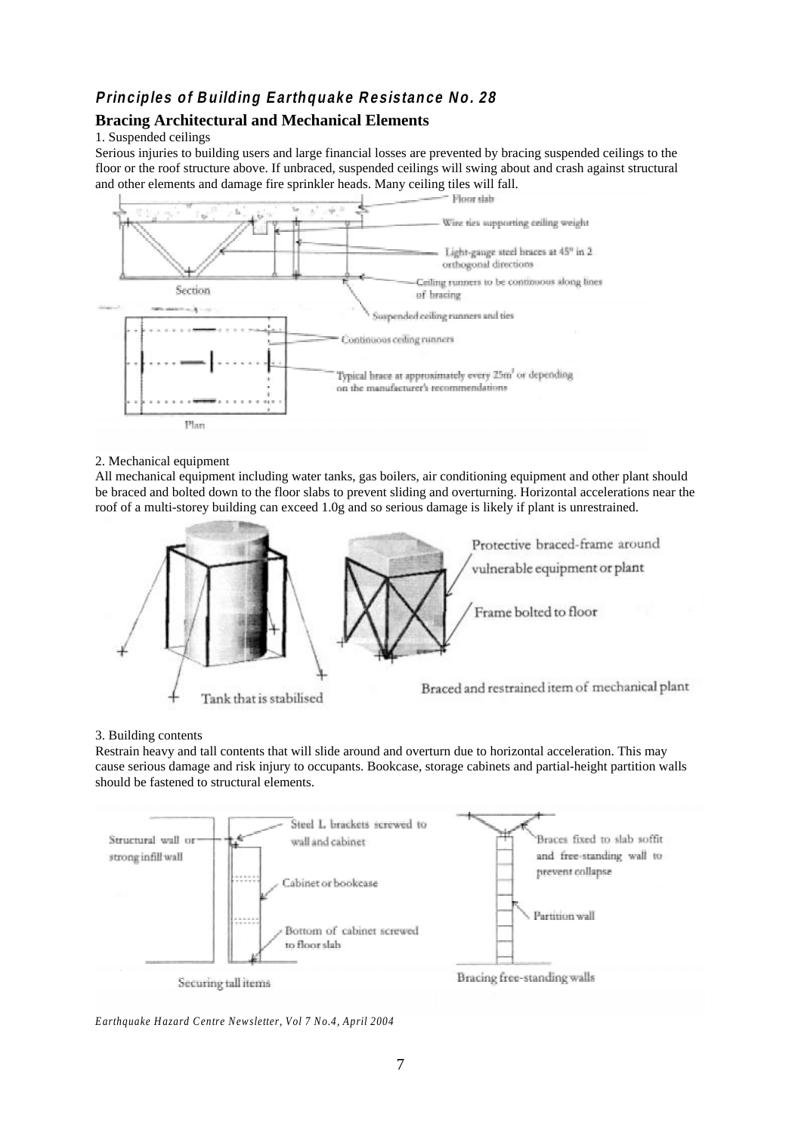## **Principles of Building Earthquake Resistance No. 28**

## **Bracing Architectural and Mechanical Elements**

#### 1. Suspended ceilings

Serious injuries to building users and large financial losses are prevented by bracing suspended ceilings to the floor or the roof structure above. If unbraced, suspended ceilings will swing about and crash against structural and other elements and damage fire sprinkler heads. Many ceiling tiles will fall.



#### 2. Mechanical equipment

All mechanical equipment including water tanks, gas boilers, air conditioning equipment and other plant should be braced and bolted down to the floor slabs to prevent sliding and overturning. Horizontal accelerations near the roof of a multi-storey building can exceed 1.0g and so serious damage is likely if plant is unrestrained.



#### 3. Building contents

Restrain heavy and tall contents that will slide around and overturn due to horizontal acceleration. This may cause serious damage and risk injury to occupants. Bookcase, storage cabinets and partial-height partition walls should be fastened to structural elements.



*Earthquake Hazard Centre Newsletter, Vol 7 No.4, April 2004*